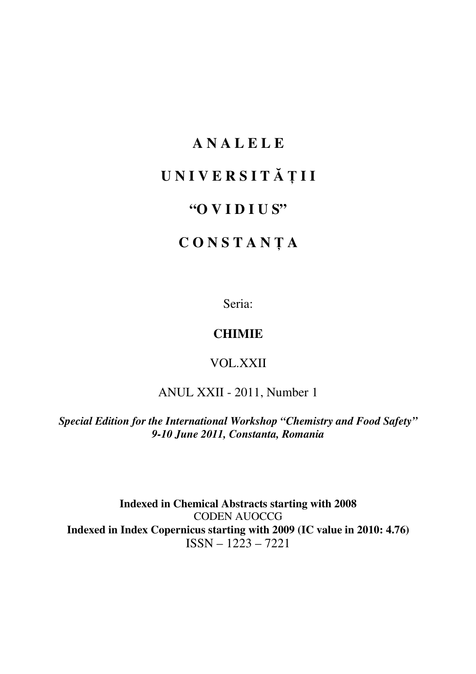# **A N A L E L E**

# **U N I V E R S I T** Ă Ţ **I I**

# **"O V I D I U S"**

# **C O N S T A N** Ţ **A**

Seria:

## **CHIMIE**

## VOL.XXII

# ANUL XXII - 2011, Number 1

*Special Edition for the International Workshop "Chemistry and Food Safety" 9-10 June 2011, Constanta, Romania* 

**Indexed in Chemical Abstracts starting with 2008**  CODEN AUOCCG **Indexed in Index Copernicus starting with 2009 (IC value in 2010: 4.76)**  ISSN – 1223 – 7221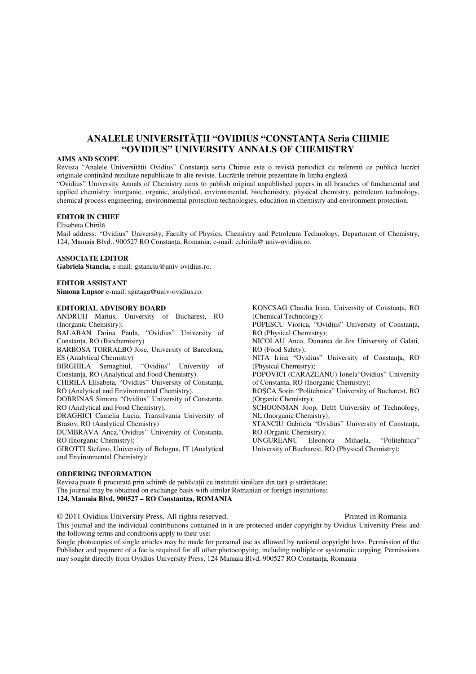## **ANALELE UNIVERSIT**ĂŢ**II "OVIDIUS "CONSTAN**Ţ**A Seria CHIMIE "OVIDIUS" UNIVERSITY ANNALS OF CHEMISTRY**

#### **AIMS AND SCOPE**

Revista "Analele Universităţii Ovidius" Constanţa seria Chimie este o revistă periodică cu referenţi ce publică lucrări originale continând rezultate nepublicate în alte reviste. Lucrările trebuie prezentate în limba engleză. "Ovidius" University Annals of Chemistry aims to publish original unpublished papers in all branches of fundamental and applied chemistry: inorganic, organic, analytical, environmental, biochemistry, physical chemistry, petroleum technology,

chemical process engineering, environmental protection technologies, education in chemistry and environment protection.

#### **EDITOR IN CHIEF**

#### Elisabeta Chirilă

Mail address: "Ovidius" University, Faculty of Physics, Chemistry and Petroleum Technology, Department of Chemistry, 124, Mamaia Blvd., 900527 RO Constanta, Romania; e-mail: echirila@ univ-ovidius.ro.

#### **ASSOCIATE EDITOR**

**Gabriela Stanciu,** e-mail: gstanciu@univ-ovidius.ro.

#### **EDITOR ASSISTANT**

**Simona Lupsor** e-mail: sgutaga@univ-ovidius.ro.

#### **EDITORIAL ADVISORY BOARD**

ANDRUH Marius, University of Bucharest, RO (Inorganic Chemistry); BALABAN Doina Paula, "Ovidius" University of Constanta, RO (Biochemistry) BARBOSA TORRALBO Jose, University of Barcelona, ES (Analytical Chemistry) BIRGHILA Semaghiul, "Ovidius" University of Constanţa, RO (Analytical and Food Chemistry). CHIRILĂ Elisabeta, "Ovidius" University of Constanţa, RO (Analytical and Environmental Chemistry). DOBRINAS Simona "Ovidius" University of Constanţa, RO (Analytical and Food Chemistry). DRAGHICI Camelia Lucia, Transilvania University of

Brasov, RO (Analytical Chemistry)

DUMBRAVA Anca,"Ovidius" University of Constanţa, RO (Inorganic Chemistry);

GIROTTI Stefano, University of Bologna, IT (Analytical and Environmental Chemistry);

KONCSAG Claudia Irina, University of Constanta, RO (Chemical Technology); POPESCU Viorica, "Ovidius" University of Constanţa, RO (Physical Chemistry); NICOLAU Anca, Dunarea de Jos University of Galati, RO (Food Safety); NITA Irina "Ovidius" University of Constanta, RO (Physical Chemistry); POPOVICI (CARAZEANU) Ionela"Ovidius" University of Constanta, RO (Inorganic Chemistry); ROŞCA Sorin "Politehnica" University of Bucharest, RO (Organic Chemistry); SCHOONMAN Joop, Delft University of Technology, NL (Inorganic Chemistry); STANCIU Gabriela "Ovidius" University of Constanta, RO (Organic Chemistry);

UNGUREANU Eleonora Mihaela, "Politehnica" University of Bucharest, RO (Physical Chemistry);

#### **ORDERING INFORMATION**

Revista poate fi procurată prin schimb de publicaţii cu instituţii similare din ţară şi străinătate; The journal may be obtained on exchange basis with similar Romanian or foreign institutions; **124, Mamaia Blvd, 900527 – RO Constantza, ROMANIA**

© 2011 Ovidius University Press. All rights reserved. Printed in Romania

This journal and the individual contributions contained in it are protected under copyright by Ovidius University Press and the following terms and conditions apply to their use:

Single photocopies of single articles may be made for personal use as allowed by national copyright laws. Permission of the Publisher and payment of a fee is required for all other photocopying, including multiple or systematic copying. Permissions may sought directly from Ovidius University Press, 124 Mamaia Blvd, 900527 RO Constanta, Romania